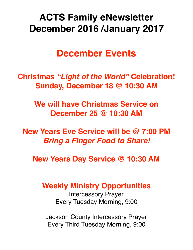# **ACTS Family eNewsletter December 2016 /January 2017**

## **December Events**

**Christmas** *"Light of the World"* **Celebration! Sunday, December 18 @ 10:30 AM**

> **We will have Christmas Service on December 25 @ 10:30 AM**

**New Years Eve Service will be @ 7:00 PM** *Bring a Finger Food to Share!*

**New Years Day Service @ 10:30 AM**

**Weekly Ministry Opportunities**

Intercessory Prayer Every Tuesday Morning, 9:00

Jackson County Intercessory Prayer Every Third Tuesday Morning, 9:00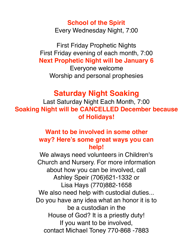#### **School of the Spirit** Every Wednesday Night, 7:00

First Friday Prophetic Nights First Friday evening of each month, 7:00 **Next Prophetic Night will be January 6**

Everyone welcome Worship and personal prophesies

## **Saturday Night Soaking**

Last Saturday Night Each Month, 7:00 **Soaking Night will be CANCELLED December because of Holidays!**

## **Want to be involved in some other way? Here's some great ways you can help!**

We always need volunteers in Children's Church and Nursery. For more information about how you can be involved, call Ashley Speir (706)621-1332 or Lisa Hays (770)882-1658 We also need help with custodial duties... Do you have any idea what an honor it is to be a custodian in the House of God? It is a priestly duty! If you want to be involved, contact Michael Toney 770-868 -7883